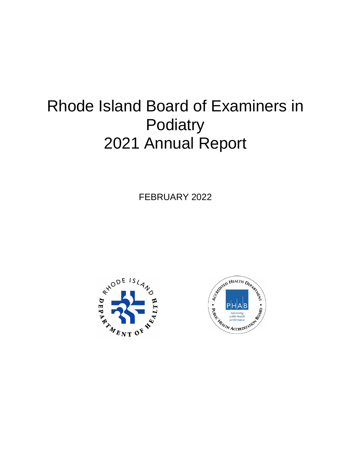# Rhode Island Board of Examiners in **Podiatry** 2021 Annual Report

FEBRUARY 2022



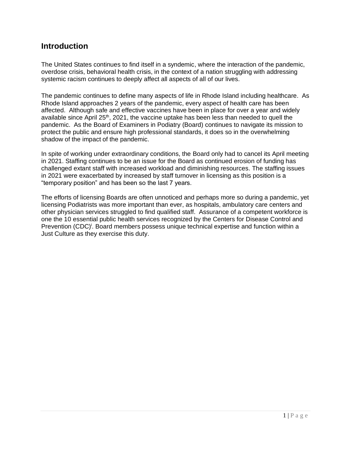#### **Introduction**

The United States continues to find itself in a syndemic, where the interaction of the pandemic, overdose crisis, behavioral health crisis, in the context of a nation struggling with addressing systemic racism continues to deeply affect all aspects of all of our lives.

The pandemic continues to define many aspects of life in Rhode Island including healthcare. As Rhode Island approaches 2 years of the pandemic, every aspect of health care has been affected. Although safe and effective vaccines have been in place for over a year and widely available since April 25<sup>th</sup>, 2021, the vaccine uptake has been less than needed to quell the pandemic. As the Board of Examiners in Podiatry (Board) continues to navigate its mission to protect the public and ensure high professional standards, it does so in the overwhelming shadow of the impact of the pandemic.

In spite of working under extraordinary conditions, the Board only had to cancel its April meeting in 2021. Staffing continues to be an issue for the Board as continued erosion of funding has challenged extant staff with increased workload and diminishing resources. The staffing issues in 2021 were exacerbated by increased by staff turnover in licensing as this position is a "temporary position" and has been so the last 7 years.

The efforts of licensing Boards are often unnoticed and perhaps more so during a pandemic, yet licensing Podiatrists was more important than ever, as hospitals, ambulatory care centers and other physician services struggled to find qualified staff. Assurance of a competent workforce is one the 10 essential public health services recognized by the Centers for Disease Control and Prevention (CDC)<sup>i</sup>. Board members possess unique technical expertise and function within a Just Culture as they exercise this duty.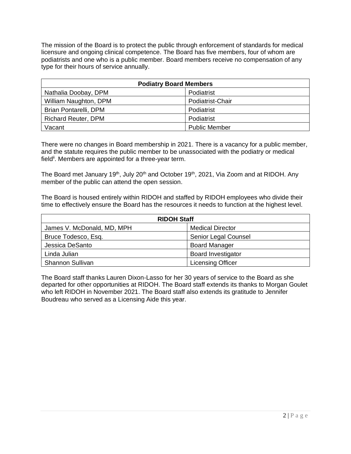The mission of the Board is to protect the public through enforcement of standards for medical licensure and ongoing clinical competence. The Board has five members, four of whom are podiatrists and one who is a public member. Board members receive no compensation of any type for their hours of service annually.

| <b>Podiatry Board Members</b> |                      |  |  |
|-------------------------------|----------------------|--|--|
| Nathalia Doobay, DPM          | Podiatrist           |  |  |
| William Naughton, DPM         | Podiatrist-Chair     |  |  |
| Brian Pontarelli, DPM         | Podiatrist           |  |  |
| <b>Richard Reuter, DPM</b>    | Podiatrist           |  |  |
| Vacant                        | <b>Public Member</b> |  |  |

There were no changes in Board membership in 2021. There is a vacancy for a public member, and the statute requires the public member to be unassociated with the podiatry or medical field<sup>ii</sup>. Members are appointed for a three-year term.

The Board met January 19<sup>th</sup>, July 20<sup>th</sup> and October 19<sup>th</sup>, 2021, Via Zoom and at RIDOH. Any member of the public can attend the open session.

The Board is housed entirely within RIDOH and staffed by RIDOH employees who divide their time to effectively ensure the Board has the resources it needs to function at the highest level.

| <b>RIDOH Staff</b>         |                           |  |  |
|----------------------------|---------------------------|--|--|
| James V. McDonald, MD, MPH | <b>Medical Director</b>   |  |  |
| Bruce Todesco, Esq.        | Senior Legal Counsel      |  |  |
| Jessica DeSanto            | <b>Board Manager</b>      |  |  |
| Linda Julian               | <b>Board Investigator</b> |  |  |
| <b>Shannon Sullivan</b>    | <b>Licensing Officer</b>  |  |  |

The Board staff thanks Lauren Dixon-Lasso for her 30 years of service to the Board as she departed for other opportunities at RIDOH. The Board staff extends its thanks to Morgan Goulet who left RIDOH in November 2021. The Board staff also extends its gratitude to Jennifer Boudreau who served as a Licensing Aide this year.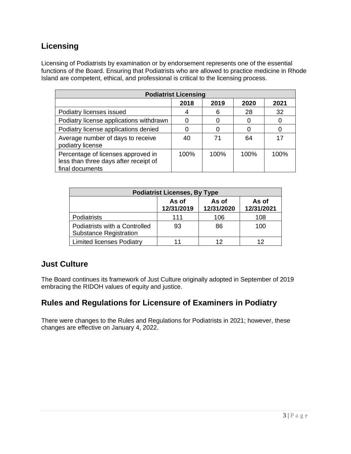## **Licensing**

Licensing of Podiatrists by examination or by endorsement represents one of the essential functions of the Board. Ensuring that Podiatrists who are allowed to practice medicine in Rhode Island are competent, ethical, and professional is critical to the licensing process.

| <b>Podiatrist Licensing</b>                                                                    |      |      |      |         |  |  |
|------------------------------------------------------------------------------------------------|------|------|------|---------|--|--|
|                                                                                                | 2018 | 2019 | 2020 | 2021    |  |  |
| Podiatry licenses issued                                                                       |      | 6    | 28   | 32      |  |  |
| Podiatry license applications withdrawn                                                        |      |      |      |         |  |  |
| Podiatry license applications denied                                                           |      |      |      |         |  |  |
| Average number of days to receive<br>podiatry license                                          | 40   | 71   | 64   | 17      |  |  |
| Percentage of licenses approved in<br>less than three days after receipt of<br>final documents | 100% | 100% | 100% | $100\%$ |  |  |

| <b>Podiatrist Licenses, By Type</b>                            |                     |                     |                     |  |  |  |
|----------------------------------------------------------------|---------------------|---------------------|---------------------|--|--|--|
|                                                                | As of<br>12/31/2019 | As of<br>12/31/2020 | As of<br>12/31/2021 |  |  |  |
| Podiatrists                                                    | 111                 | 106                 | 108                 |  |  |  |
| Podiatrists with a Controlled<br><b>Substance Registration</b> | 93                  | 86                  | 100                 |  |  |  |
| <b>Limited licenses Podiatry</b>                               |                     | 12                  |                     |  |  |  |

### **Just Culture**

The Board continues its framework of Just Culture originally adopted in September of 2019 embracing the RIDOH values of equity and justice.

### **Rules and Regulations for Licensure of Examiners in Podiatry**

There were changes to the Rules and Regulations for Podiatrists in 2021; however, these changes are effective on January 4, 2022.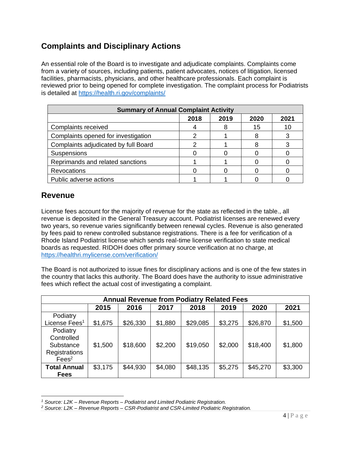## **Complaints and Disciplinary Actions**

An essential role of the Board is to investigate and adjudicate complaints. Complaints come from a variety of sources, including patients, patient advocates, notices of litigation, licensed facilities, pharmacists, physicians, and other healthcare professionals. Each complaint is reviewed prior to being opened for complete investigation. The complaint process for Podiatrists is detailed at<https://health.ri.gov/complaints/>

| <b>Summary of Annual Complaint Activity</b> |      |      |      |      |  |
|---------------------------------------------|------|------|------|------|--|
|                                             | 2018 | 2019 | 2020 | 2021 |  |
| Complaints received                         |      |      | 15   | 10   |  |
| Complaints opened for investigation         |      |      |      |      |  |
| Complaints adjudicated by full Board        |      |      |      |      |  |
| Suspensions                                 |      |      |      |      |  |
| Reprimands and related sanctions            |      |      |      |      |  |
| <b>Revocations</b>                          |      |      |      |      |  |
| Public adverse actions                      |      |      |      |      |  |

## **Revenue**

License fees account for the majority of revenue for the state as reflected in the table., all revenue is deposited in the General Treasury account. Podiatrist licenses are renewed every two years, so revenue varies significantly between renewal cycles. Revenue is also generated by fees paid to renew controlled substance registrations. There is a fee for verification of a Rhode Island Podiatrist license which sends real-time license verification to state medical boards as requested. RIDOH does offer primary source verification at no charge, at <https://healthri.mylicense.com/verification/>

The Board is not authorized to issue fines for disciplinary actions and is one of the few states in the country that lacks this authority. The Board does have the authority to issue administrative fees which reflect the actual cost of investigating a complaint.

| <b>Annual Revenue from Podiatry Related Fees</b>                          |         |          |         |          |         |          |         |
|---------------------------------------------------------------------------|---------|----------|---------|----------|---------|----------|---------|
|                                                                           | 2015    | 2016     | 2017    | 2018     | 2019    | 2020     | 2021    |
| Podiatry                                                                  |         |          |         |          |         |          |         |
| License Fees <sup>1</sup>                                                 | \$1,675 | \$26,330 | \$1,880 | \$29,085 | \$3,275 | \$26,870 | \$1,500 |
| Podiatry<br>Controlled<br>Substance<br>Registrations<br>Fees <sup>2</sup> | \$1,500 | \$18,600 | \$2,200 | \$19,050 | \$2,000 | \$18,400 | \$1,800 |
| <b>Total Annual</b><br><b>Fees</b>                                        | \$3,175 | \$44,930 | \$4,080 | \$48,135 | \$5,275 | \$45,270 | \$3,300 |

*<sup>1</sup> Source: L2K – Revenue Reports – Podiatrist and Limited Podiatric Registration.*

*<sup>2</sup> Source: L2K – Revenue Reports – CSR-Podiatrist and CSR-Limited Podiatric Registration.*